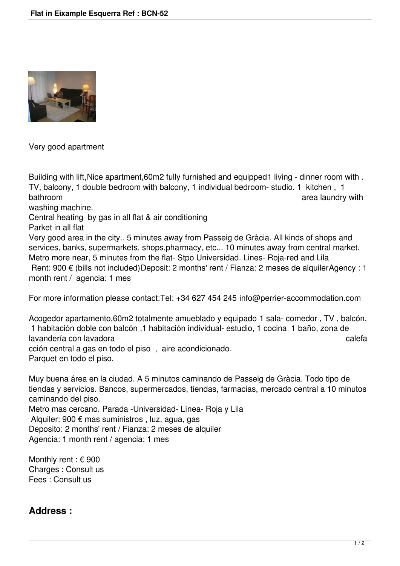

Very good apartment

Building with lift, Nice apartment, 60m2 fully furnished and equipped 1 living - dinner room with. TV, balcony, 1 double bedroom with balcony, 1 individual bedroom- studio. 1 kitchen , 1 bathroom bathroom bathroom area laundry with  $\alpha$  area laundry with  $\alpha$ 

washing machine.

Central heating by gas in all flat & air conditioning

Parket in all flat

Very good area in the city.. 5 minutes away from Passeig de Gràcia. All kinds of shops and services, banks, supermarkets, shops,pharmacy, etc... 10 minutes away from central market. Metro more near, 5 minutes from the flat- Stpo Universidad. Lines- Roja-red and Lila Rent: 900 € (bills not included)Deposit: 2 months' rent / Fianza: 2 meses de alquilerAgency : 1 month rent / agencia: 1 mes

For more information please contact:Tel: +34 627 454 245 info@perrier-accommodation.com

Acogedor apartamento,60m2 totalmente amueblado y equipado 1 sala- comedor , TV , balcón, 1 habitación doble con balcón ,1 habitación individual- estudio, 1 cocina 1 baño, zona de lavandería con lavadora calefa calefa calefa calefa calefa calefa calefa calefa calefa calefa calefa calefa calefa cción central a gas en todo el piso , aire acondicionado. Parquet en todo el piso.

Muy buena área en la ciudad. A 5 minutos caminando de Passeig de Gràcia. Todo tipo de tiendas y servicios. Bancos, supermercados, tiendas, farmacias, mercado central a 10 minutos caminando del piso. Metro mas cercano. Parada -Universidad- Línea- Roja y Lila Alquiler: 900 € mas suministros , luz, agua, gas Deposito: 2 months' rent / Fianza: 2 meses de alquiler

Agencia: 1 month rent / agencia: 1 mes

Monthly rent : € 900 Charges : Consult us Fees : Consult us

## **Address :**